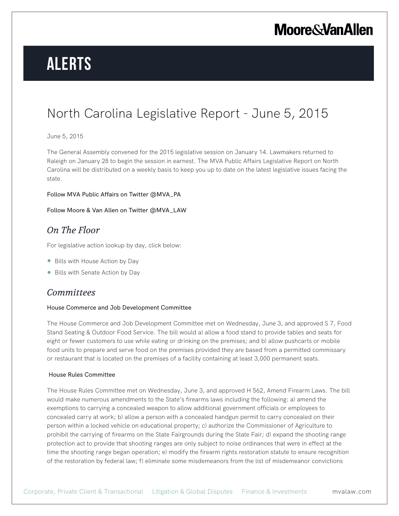# **Alerts**

### North Carolina Legislative Report - June 5, 2015

### June 5, 2015

The General Assembly convened for the 2015 legislative session on January 14. Lawmakers returned to Raleigh on January 28 to begin the session in earnest. The MVA Public Affairs Legislative Report on North Carolina will be distributed on a weekly basis to keep you up to date on the latest legislative issues facing the state.

#### Follow MVA Public Affairs on Twitter @MVA\_PA

### Follow Moore & Van Allen on Twitter @MVA\_LAW

### *On The Floor*

For legislative action lookup by day, click below:

- Bills with House Action by Day
- Bills with Senate Action by Day

### *Committees*

### House Commerce and Job Development Committee

The House Commerce and Job Development Committee met on Wednesday, June 3, and approved S 7, Food Stand Seating & Outdoor Food Service. The bill would a) allow a food stand to provide tables and seats for eight or fewer customers to use while eating or drinking on the premises; and b) allow pushcarts or mobile food units to prepare and serve food on the premises provided they are based from a permitted commissary or restaurant that is located on the premises of a facility containing at least 3,000 permanent seats.

### House Rules Committee

The House Rules Committee met on Wednesday, June 3, and approved H 562, Amend Firearm Laws. The bill would make numerous amendments to the State's firearms laws including the following: a) amend the exemptions to carrying a concealed weapon to allow additional government officials or employees to concealed carry at work; b) allow a person with a concealed handgun permit to carry concealed on their person within a locked vehicle on educational property; c) authorize the Commissioner of Agriculture to prohibit the carrying of firearms on the State Fairgrounds during the State Fair; d) expand the shooting range protection act to provide that shooting ranges are only subject to noise ordinances that were in effect at the time the shooting range began operation; e) modify the firearm rights restoration statute to ensure recognition of the restoration by federal law; f) eliminate some misdemeanors from the list of misdemeanor convictions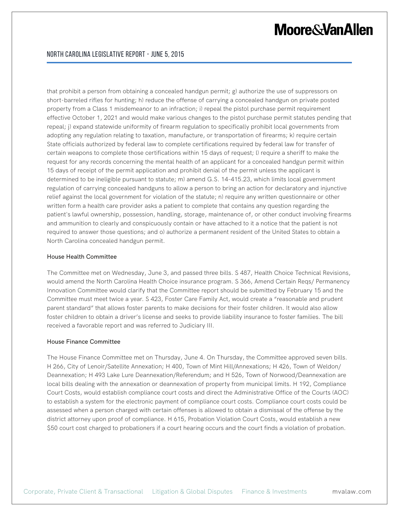that prohibit a person from obtaining a concealed handgun permit; g) authorize the use of suppressors on short-barreled rifles for hunting; h) reduce the offense of carrying a concealed handgun on private posted property from a Class 1 misdemeanor to an infraction; i) repeal the pistol purchase permit requirement effective October 1, 2021 and would make various changes to the pistol purchase permit statutes pending that repeal; j) expand statewide uniformity of firearm regulation to specifically prohibit local governments from adopting any regulation relating to taxation, manufacture, or transportation of firearms; k) require certain State officials authorized by federal law to complete certifications required by federal law for transfer of certain weapons to complete those certifications within 15 days of request; l) require a sheriff to make the request for any records concerning the mental health of an applicant for a concealed handgun permit within 15 days of receipt of the permit application and prohibit denial of the permit unless the applicant is determined to be ineligible pursuant to statute; m) amend G.S. 14-415.23, which limits local government regulation of carrying concealed handguns to allow a person to bring an action for declaratory and injunctive relief against the local government for violation of the statute; n) require any written questionnaire or other written form a health care provider asks a patient to complete that contains any question regarding the patient's lawful ownership, possession, handling, storage, maintenance of, or other conduct involving firearms and ammunition to clearly and conspicuously contain or have attached to it a notice that the patient is not required to answer those questions; and o) authorize a permanent resident of the United States to obtain a North Carolina concealed handgun permit.

#### House Health Committee

The Committee met on Wednesday, June 3, and passed three bills. S 487, Health Choice Technical Revisions, would amend the North Carolina Health Choice insurance program. S 366, Amend Certain Reqs/ Permanency Innovation Committee would clarify that the Committee report should be submitted by February 15 and the Committee must meet twice a year. S 423, Foster Care Family Act, would create a "reasonable and prudent parent standard" that allows foster parents to make decisions for their foster children. It would also allow foster children to obtain a driver's license and seeks to provide liability insurance to foster families. The bill received a favorable report and was referred to Judiciary III.

#### House Finance Committee

The House Finance Committee met on Thursday, June 4. On Thursday, the Committee approved seven bills. H 266, City of Lenoir/Satellite Annexation; H 400, Town of Mint Hill/Annexations; H 426, Town of Weldon/ Deannexation; H 493 Lake Lure Deannexation/Referendum; and H 526, Town of Norwood/Deannexation are local bills dealing with the annexation or deannexation of property from municipal limits. H 192, Compliance Court Costs, would establish compliance court costs and direct the Administrative Office of the Courts (AOC) to establish a system for the electronic payment of compliance court costs. Compliance court costs could be assessed when a person charged with certain offenses is allowed to obtain a dismissal of the offense by the district attorney upon proof of compliance. H 615, Probation Violation Court Costs, would establish a new \$50 court cost charged to probationers if a court hearing occurs and the court finds a violation of probation.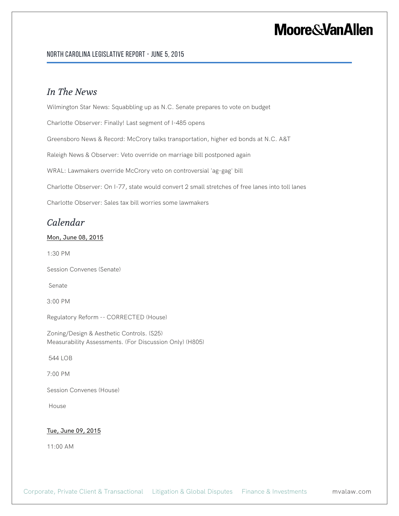### North Carolina Legislative Report - June 5, 2015

### *In The News*

Wilmington Star News: Squabbling up as N.C. Senate prepares to vote on budget

Charlotte Observer: Finally! Last segment of I-485 opens

Greensboro News & Record: McCrory talks transportation, higher ed bonds at N.C. A&T

Raleigh News & Observer: Veto override on marriage bill postponed again

WRAL: Lawmakers override McCrory veto on controversial 'ag-gag' bill

Charlotte Observer: On I-77, state would convert 2 small stretches of free lanes into toll lanes

Charlotte Observer: Sales tax bill worries some lawmakers

### *Calendar*

### Mon, June 08, 2015

1:30 PM

Session Convenes (Senate)

Senate

3:00 PM

Regulatory Reform -- CORRECTED (House)

Zoning/Design & Aesthetic Controls. (S25) Measurability Assessments. (For Discussion Only) (H805)

544 LOB

7:00 PM

Session Convenes (House)

House

#### Tue, June 09, 2015

11:00 AM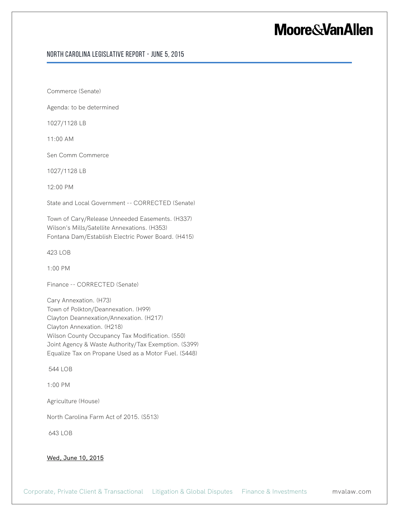### North Carolina Legislative Report - June 5, 2015

Commerce (Senate)

Agenda: to be determined

1027/1128 LB

11:00 AM

Sen Comm Commerce

1027/1128 LB

12:00 PM

State and Local Government -- CORRECTED (Senate)

Town of Cary/Release Unneeded Easements. (H337) Wilson's Mills/Satellite Annexations. (H353) Fontana Dam/Establish Electric Power Board. (H415)

423 LOB

1:00 PM

Finance -- CORRECTED (Senate)

Cary Annexation. (H73) Town of Polkton/Deannexation. (H99) Clayton Deannexation/Annexation. (H217) Clayton Annexation. (H218) Wilson County Occupancy Tax Modification. (S50) Joint Agency & Waste Authority/Tax Exemption. (S399) Equalize Tax on Propane Used as a Motor Fuel. (S448)

544 LOB

1:00 PM

Agriculture (House)

North Carolina Farm Act of 2015. (S513)

643 LOB

#### Wed, June 10, 2015